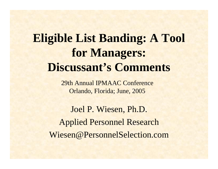# **Eligible List Banding: A Tool for Managers: Discussant's Comments**

29th Annual IPMAAC Conference Orlando, Florida; June, 2005

Joel P. Wiesen, Ph.D. Applied Personnel Research Wiesen@PersonnelSelection.com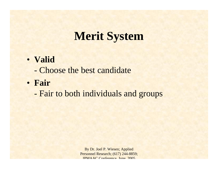# **Merit System**

#### • **Valid**

- Choose the best candidate
- **Fair** 
	- -Fair to both individuals and groups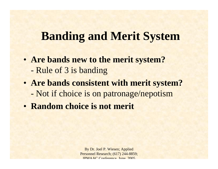### **Banding and Merit System**

- **Are bands new to the merit system?** -Rule of 3 is banding
- **Are bands consistent with merit system?** -Not if choice is on patronage/nepotism
- **Random choice is not merit**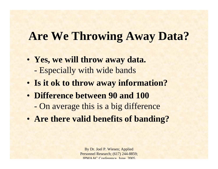# **Are We Throwing Away Data?**

- **Yes, we will throw away data.** -Especially with wide bands
- **Is it ok to throw away information?**
- **Difference between 90 and 100**-On average this is a big difference
- **Are there valid benefits of banding?**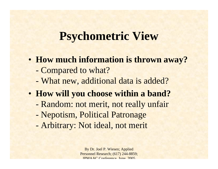### **Psychometric View**

- **How much information is thrown away?**
	- -Compared to what?
	- -What new, additional data is added?
- **How will you choose within a band?**
	- -Random: not merit, not really unfair
	- -Nepotism, Political Patronage
	- -Arbitrary: Not ideal, not merit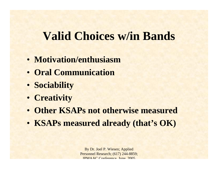# **Valid Choices w/in Bands**

- **Motivation/enthusiasm**
- **Oral Communication**
- **Sociability**
- **Creativity**
- **Other KSAPs not otherwise measured**
- **KSAPs measured already (that's OK)**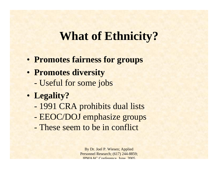### **What of Ethnicity?**

- **Promotes fairness for groups**
- **Promotes diversity** -Useful for some jobs
- **Legality?**
	- -1991 CRA prohibits dual lists
	- -EEOC/DOJ emphasize groups
	- These seem to be in conflict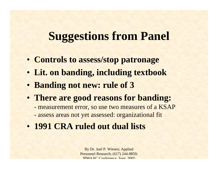- **Controls to assess/stop patronage**
- **Lit. on banding, including textbook**
- **Banding not new: rule of 3**
- **There are good reasons for banding:** 
	- measurement error, so use two measures of a KSAP
	- assess areas not yet assessed: organizational fit
- **1991 CRA ruled out dual lists**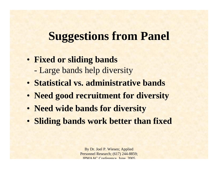#### • **Fixed or sliding bands**

- -Large bands help diversity
- **Statistical vs. administrative bands**
- **Need good recruitment for diversity**
- **Need wide bands for diversity**
- **Sliding bands work better than fixed**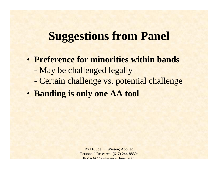- **Preference for minorities within bands**
	- -May be challenged legally
	- -Certain challenge vs. potential challenge
- **Banding is only one AA tool**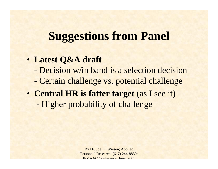#### • **Latest Q&A draft**

- Decision w/in band is a selection decision
- -Certain challenge vs. potential challenge
- **Central HR is fatter target** (as I see it) -Higher probability of challenge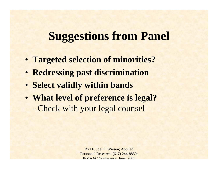- **Targeted selection of minorities?**
- **Redressing past discrimination**
- **Select validly within bands**
- **What level of preference is legal?** -Check with your legal counsel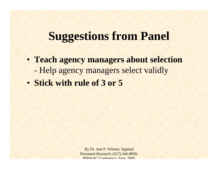- **Teach agency managers about selection** -Help agency managers select validly
- **Stick with rule of 3 or 5**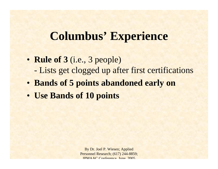- **Rule of 3** (i.e., 3 people) -Lists get clogged up after first certifications
- **Bands of 5 points abandoned early on**
- **Use Bands of 10 points**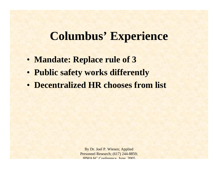- **Mandate: Replace rule of 3**
- **Public safety works differently**
- **Decentralized HR chooses from list**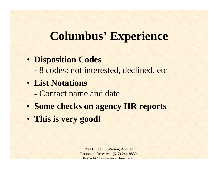#### • **Disposition Codes**

-8 codes: not interested, declined, etc

#### • **List Notations**

- Contact name and date
- **Some checks on agency HR reports**
- **This is very good!**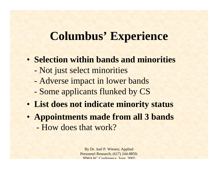- **Selection within bands and minorities**
	- -Not just select minorities
	- -Adverse impact in lower bands
	- -Some applicants flunked by CS
- **List does not indicate minority status**
- **Appointments made from all 3 bands** - How does that work?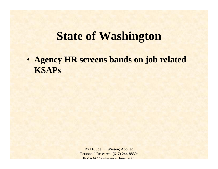### **State of Washington**

• **Agency HR screens bands on job related KSAPs**